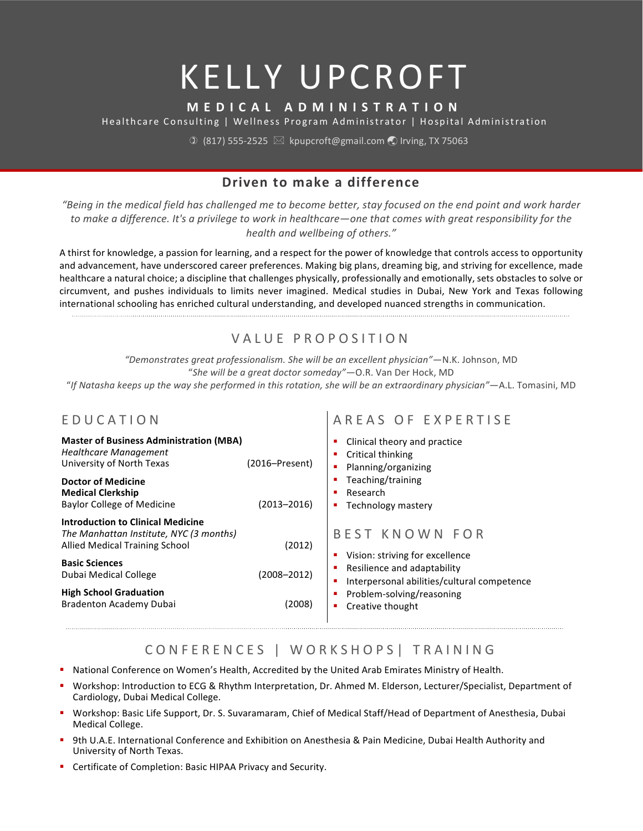# KELLY UPCROFT

# **MEDICAL ADMINISTRATION**

Healthcare Consulting | Wellness Program Administrator | Hospital Administration

 $\circled{1}$  (817) 555-2525  $\boxtimes$  kpupcroft@gmail.com  $\bullet$  Irving, TX 75063

# **Driven to make a difference**

*"Being* in the medical field has challenged me to become better, stay focused on the end point and work harder to make a difference. It's a privilege to work in healthcare—one that comes with great responsibility for the *health and wellbeing of others."*

A thirst for knowledge, a passion for learning, and a respect for the power of knowledge that controls access to opportunity and advancement, have underscored career preferences. Making big plans, dreaming big, and striving for excellence, made healthcare a natural choice; a discipline that challenges physically, professionally and emotionally, sets obstacles to solve or circumvent, and pushes individuals to limits never imagined. Medical studies in Dubai, New York and Texas following international schooling has enriched cultural understanding, and developed nuanced strengths in communication.

# VALUE PROPOSITION

"Demonstrates great professionalism. She will be an excellent physician"—N.K. Johnson, MD "She will be a great doctor someday"-O.R. Van Der Hock, MD "If Natasha keeps up the way she performed in this rotation, she will be an extraordinary physician"—A.L. Tomasini, MD

# EDUCATION AREAS OF EXPERTISE

| <b>Master of Business Administration (MBA)</b><br><b>Healthcare Management</b><br>University of North Texas<br><b>Doctor of Medicine</b><br><b>Medical Clerkship</b><br><b>Baylor College of Medicine</b>                                         | $(2016 -$ Present $)$<br>$(2013 - 2016)$ | Clinical theory and practice<br>Critical thinking<br>Planning/organizing<br>Teaching/training<br>Research<br>Technology mastery                                                  |
|---------------------------------------------------------------------------------------------------------------------------------------------------------------------------------------------------------------------------------------------------|------------------------------------------|----------------------------------------------------------------------------------------------------------------------------------------------------------------------------------|
| <b>Introduction to Clinical Medicine</b><br>The Manhattan Institute, NYC (3 months)<br><b>Allied Medical Training School</b><br><b>Basic Sciences</b><br>Dubai Medical College<br><b>High School Graduation</b><br><b>Bradenton Academy Dubai</b> | (2012)<br>$(2008 - 2012)$<br>(2008)      | BEST KNOWN FOR<br>Vision: striving for excellence<br>Resilience and adaptability<br>Interpersonal abilities/cultural competence<br>Problem-solving/reasoning<br>Creative thought |

# CONFERENCES | WORKSHOPS | TRAINING

- National Conference on Women's Health, Accredited by the United Arab Emirates Ministry of Health.
- <sup>■</sup> Workshop: Introduction to ECG & Rhythm Interpretation, Dr. Ahmed M. Elderson, Lecturer/Specialist, Department of Cardiology, Dubai Medical College.
- Workshop: Basic Life Support, Dr. S. Suvaramaram, Chief of Medical Staff/Head of Department of Anesthesia, Dubai Medical College.
- 9th U.A.E. International Conference and Exhibition on Anesthesia & Pain Medicine, Dubai Health Authority and University of North Texas.
- Certificate of Completion: Basic HIPAA Privacy and Security.